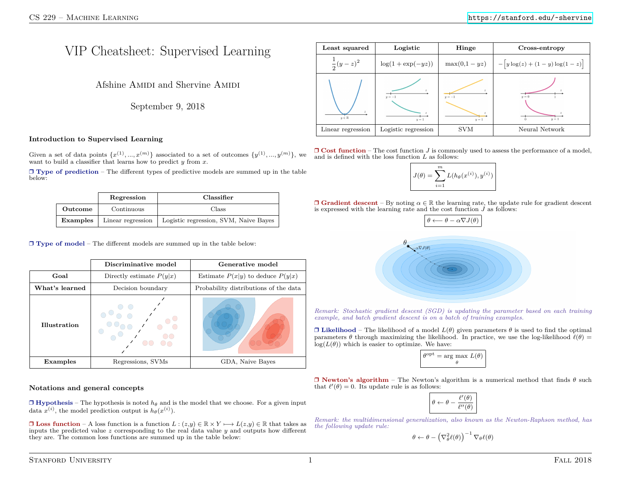# VIP Cheatsheet: Supervised Learning

Afshine AMIDI and Shervine AMIDI

September 9, 2018

## **Introduction to Supervised Learning**

Given a set of data points  $\{x^{(1)},...,x^{(m)}\}$  associated to a set of outcomes  $\{y^{(1)},...,y^{(m)}\}$ , we want to build a classifier that learns how to predict *y* from *x*.

❒ **Type of prediction** – The different types of predictive models are summed up in the table below:

|          | Regression        | Classifier                            |  |
|----------|-------------------|---------------------------------------|--|
| Outcome  | Continuous        | Class                                 |  |
| Examples | Linear regression | Logistic regression, SVM, Naive Bayes |  |

❒ **Type of model** – The different models are summed up in the table below:

|                                    | Discriminative model                                       | Generative model                     |  |
|------------------------------------|------------------------------------------------------------|--------------------------------------|--|
| Goal<br>Directly estimate $P(y x)$ |                                                            | Estimate $P(x y)$ to deduce $P(y x)$ |  |
| What's learned                     | Probability distributions of the data<br>Decision boundary |                                      |  |
| Illustration                       |                                                            |                                      |  |
| Examples                           | Regressions, SVMs                                          | GDA, Naive Bayes                     |  |

## **Notations and general concepts**

 $\Box$  **Hypothesis** – The hypothesis is noted  $h_\theta$  and is the model that we choose. For a given input data  $x^{(i)}$ , the model prediction output is  $h_{\theta}(x^{(i)})$ .

**□ Loss function** – A loss function is a function  $L : (z,y) \in \mathbb{R} \times Y \longmapsto L(z,y) \in \mathbb{R}$  that takes as inputs the predicted value *z* corresponding to the real data value *y* and outputs how different they are. The common loss functions are summed up in the table below:

| Least squared        | Logistic              | Hinge           | Cross-entropy                                                  |
|----------------------|-----------------------|-----------------|----------------------------------------------------------------|
| $\frac{1}{2}(y-z)^2$ | $\log(1 + \exp(-yz))$ |                 | $\max(0,1-yz)$ $\Big  - \Big[y \log(z) + (1-y) \log(1-z)\Big]$ |
| $y \in \mathbb{R}$   | $y=-1$<br>$u=1$       | $y=-1$<br>$u=1$ | $y = 0$<br>$y=1$                                               |
| Linear regression    | Logistic regression   | <b>SVM</b>      | Neural Network                                                 |

❒ **Cost function** – The cost function *J* is commonly used to assess the performance of a model, and is defined with the loss function *L* as follows:

$$
J(\theta) = \sum_{i=1}^{m} L(h_{\theta}(x^{(i)}), y^{(i)})
$$

 $\Box$  **Gradient descent** – By noting  $\alpha \in \mathbb{R}$  the learning rate, the update rule for gradient descent is expressed with the learning rate and the cost function  $J$  as follows:



*Remark: Stochastic gradient descent (SGD) is updating the parameter based on each training example, and batch gradient descent is on a batch of training examples.*

 $\Box$  **Likelihood** – The likelihood of a model  $L(\theta)$  given parameters  $\theta$  is used to find the optimal parameters  $\theta$  through maximizing the likelihood. In practice, we use the log-likelihood  $\ell(\theta)$  =  $log(L(\theta))$  which is easier to optimize. We have:

$$
\theta^{\text{opt}} = \arg \max_{\theta} L(\theta)
$$

❒ **Newton's algorithm** – The Newton's algorithm is a numerical method that finds *θ* such that  $\ell'(\theta) = 0$ . Its update rule is as follows:

$$
\boxed{\theta \leftarrow \theta - \frac{\ell^{\prime}(\theta)}{\ell^{\prime\prime}(\theta)}}
$$

*Remark: the multidimensional generalization, also known as the Newton-Raphson method, has the following update rule:*

$$
\theta \leftarrow \theta - \left(\nabla^2_{\theta} \ell(\theta)\right)^{-1} \nabla_{\theta} \ell(\theta)
$$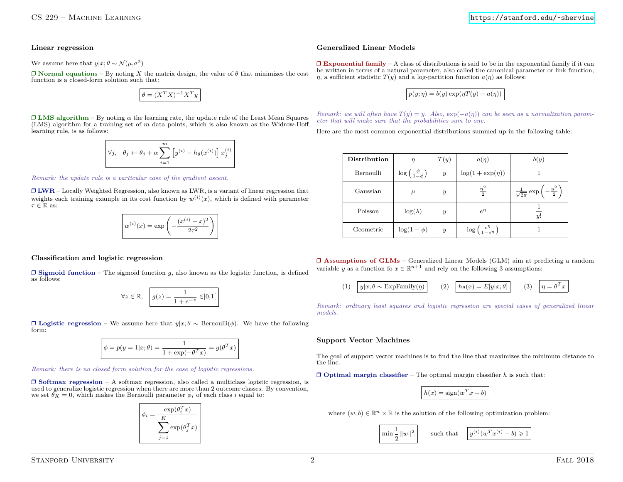**Linear regression**

We assume here that  $y|x; \theta \sim \mathcal{N}(\mu, \sigma^2)$ 

 $\Box$  **Normal equations** – By noting *X* the matrix design, the value of  $\theta$  that minimizes the cost function is a closed-form solution such that:

$$
\theta = (X^T X)^{-1} X^T y
$$

 $\Box$  **LMS** algorithm – By noting  $\alpha$  the learning rate, the update rule of the Least Mean Squares (LMS) algorithm for a training set of *m* data points, which is also known as the Widrow-Hoff learning rule, is as follows:

$$
\nabla j, \quad \theta_j \leftarrow \theta_j + \alpha \sum_{i=1}^m \left[ y^{(i)} - h_{\theta}(x^{(i)}) \right] x_j^{(i)}
$$

*Remark: the update rule is a particular case of the gradient ascent.*

❒ **LWR** – Locally Weighted Regression, also known as LWR, is a variant of linear regression that weights each training example in its cost function by  $w^{(i)}(x)$ , which is defined with parameter  $τ ∈ ℝ$  as:

$$
w^{(i)}(x) = \exp\left(-\frac{(x^{(i)} - x)^2}{2\tau^2}\right)
$$

### **Classification and logistic regression**

 $\Box$  **Sigmoid function** – The sigmoid function *q*, also known as the logistic function, is defined as follows:

$$
\forall z \in \mathbb{R}, \quad g(z) = \frac{1}{1 + e^{-z}} \in ]0,1[
$$

❒ **Logistic regression** – We assume here that *y*|*x*; *θ* ∼ Bernoulli(*φ*). We have the following form:

$$
\phi = p(y = 1|x; \theta) = \frac{1}{1 + \exp(-\theta^T x)} = g(\theta^T x)
$$

*Remark: there is no closed form solution for the case of logistic regressions.*

❒ **Softmax regression** – A softmax regression, also called a multiclass logistic regression, is used to generalize logistic regression when there are more than 2 outcome classes. By convention, we set  $\theta_K = 0$ , which makes the Bernoulli parameter  $\phi_i$  of each class *i* equal to:

$$
\phi_i = \frac{\exp(\theta_i^T x)}{\sum_{j=1}^K \exp(\theta_j^T x)}
$$

## **Generalized Linear Models**

❒ **Exponential family** – A class of distributions is said to be in the exponential family if it can be written in terms of a natural parameter, also called the canonical parameter or link function, *η*, a sufficient statistic  $T(y)$  and a log-partition function  $a(\eta)$  as follows:

$$
p(y;\eta)=b(y)\exp(\eta T(y)-a(\eta))
$$

*Remark: we will often have*  $T(y) = y$ *. Also,*  $exp(-a(\eta))$  *can be seen as a normalization parameter that will make sure that the probabilities sum to one.*

Here are the most common exponential distributions summed up in the following table:

| Distribution | $\eta$                                 | T(y)             | $a(\eta)$                                      | b(y)                                                   |
|--------------|----------------------------------------|------------------|------------------------------------------------|--------------------------------------------------------|
| Bernoulli    | $\log\left(\frac{\phi}{1-\phi}\right)$ | $\boldsymbol{y}$ | $\log(1 + \exp(\eta))$                         |                                                        |
| Gaussian     | $\mu$                                  | $\boldsymbol{y}$ | $\frac{\eta^2}{2}$                             | $\frac{1}{\sqrt{2\pi}}\exp\left(-\frac{y^2}{2}\right)$ |
| Poisson      | $\log(\lambda)$                        | $\boldsymbol{y}$ | $e^{\eta}$                                     | y!                                                     |
| Geometric    | $\log(1-\phi)$                         | $\boldsymbol{y}$ | $\log\left(\frac{e^{\eta}}{1-e^{\eta}}\right)$ |                                                        |

❒ **Assumptions of GLMs** – Generalized Linear Models (GLM) aim at predicting a random variable *y* as a function fo  $x \in \mathbb{R}^{n+1}$  and rely on the following 3 assumptions:

(1) 
$$
\boxed{y|x;\theta \sim \text{ExpFamily}(\eta)}
$$
 (2)  $\boxed{h_{\theta}(x) = E[y|x;\theta]}$  (3)  $\boxed{\eta = \theta^T x}$ 

*Remark: ordinary least squares and logistic regression are special cases of generalized linear models.*

### **Support Vector Machines**

The goal of support vector machines is to find the line that maximizes the minimum distance to the line.

❒ **Optimal margin classifier** – The optimal margin classifier *h* is such that:

$$
h(x) = sign(w^T x - b)
$$

where  $(w, b) \in \mathbb{R}^n \times \mathbb{R}$  is the solution of the following optimization problem:

$$
\boxed{\min \frac{1}{2} ||w||^2} \qquad \text{such that} \quad \boxed{y^{(i)} (w^T x^{(i)} - b) \geqslant 1}
$$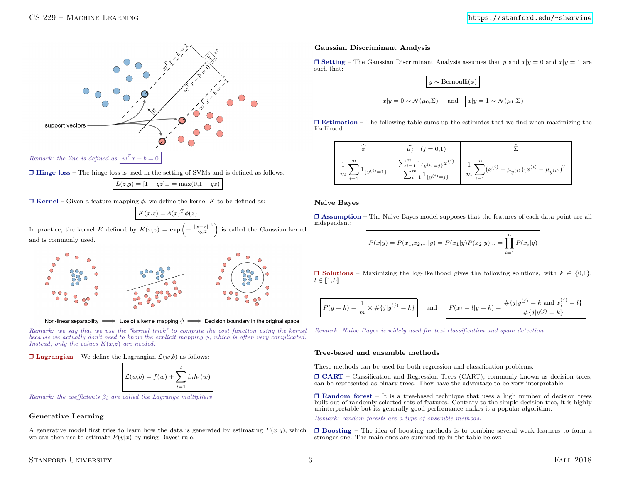

❒ **Hinge loss** – The hinge loss is used in the setting of SVMs and is defined as follows:

 $L(z,y) = [1 - yz]_+ = \max(0,1 - yz)$ 

 $\Box$  **Kernel** – Given a feature mapping  $\phi$ , we define the kernel K to be defined as:

$$
K(x,z) = \phi(x)^T \phi(z)
$$

In practice, the kernel *K* defined by  $K(x,z) = \exp\left(-\frac{||x-z||^2}{2\sigma^2}\right)$  is called the Gaussian kernel and is commonly used.



Non-linear separability  $\implies$  Use of a kernel mapping  $\phi \implies$  Decision boundary in the original space

*Remark: we say that we use the "kernel trick" to compute the cost function using the kernel because we actually don't need to know the explicit mapping φ, which is often very complicated. Instead, only the values K*(*x,z*) *are needed.*

 $\Box$  **Lagrangian** – We define the Lagrangian  $\mathcal{L}(w,b)$  as follows:

$$
\mathcal{L}(w,b) = f(w) + \sum_{i=1}^{l} \beta_i h_i(w)
$$

*Remark: the coefficients β<sup>i</sup> are called the Lagrange multipliers.*

## **Generative Learning**

A generative model first tries to learn how the data is generated by estimating  $P(x|y)$ , which we can then use to estimate  $P(y|x)$  by using Bayes' rule.

## **Gaussian Discriminant Analysis**

 $\Box$  **Setting** – The Gaussian Discriminant Analysis assumes that *y* and  $x|y = 0$  and  $x|y = 1$  are such that:



❒ **Estimation** – The following table sums up the estimates that we find when maximizing the likelihood:

$$
\begin{array}{|c|c|} \hline \widehat{\phi} & \widehat{\mu_j} & (j=0,1) & \widehat{\Sigma} \\ \hline \frac{1}{m} \sum_{i=1}^m 1_{\{y^{(i)}=1\}} & \frac{\sum_{i=1}^m 1_{\{y^{(i)}=j\}} x^{(i)}}{\sum_{i=1}^m 1_{\{y^{(i)}=j\}}} & \frac{1}{m} \sum_{i=1}^m (x^{(i)} - \mu_{y^{(i)}}) (x^{(i)} - \mu_{y^{(i)}})^T \\ \hline \end{array}
$$

#### **Naive Bayes**

❒ **Assumption** – The Naive Bayes model supposes that the features of each data point are all independent:

$$
P(x|y) = P(x_1,x_2,...|y) = P(x_1|y)P(x_2|y)... = \prod_{i=1}^{n} P(x_i|y)
$$

❒ **Solutions** – Maximizing the log-likelihood gives the following solutions, with *k* ∈ {0*,*1}*,*  $l \in [1, L]$ 

$$
P(y = k) = \frac{1}{m} \times #\{j|y^{(j)} = k\}
$$
 and 
$$
P(x_i = l|y = k) = \frac{\# \{j|y^{(j)} = k \text{ and } x_i^{(j)} = l\}}{\# \{j|y^{(j)} = k\}}
$$

*Remark: Naive Bayes is widely used for text classification and spam detection.*

### **Tree-based and ensemble methods**

These methods can be used for both regression and classification problems.

❒ **CART** – Classification and Regression Trees (CART), commonly known as decision trees, can be represented as binary trees. They have the advantage to be very interpretable.

❒ **Random forest** – It is a tree-based technique that uses a high number of decision trees built out of randomly selected sets of features. Contrary to the simple decision tree, it is highly uninterpretable but its generally good performance makes it a popular algorithm.

*Remark: random forests are a type of ensemble methods.*

❒ **Boosting** – The idea of boosting methods is to combine several weak learners to form a stronger one. The main ones are summed up in the table below: